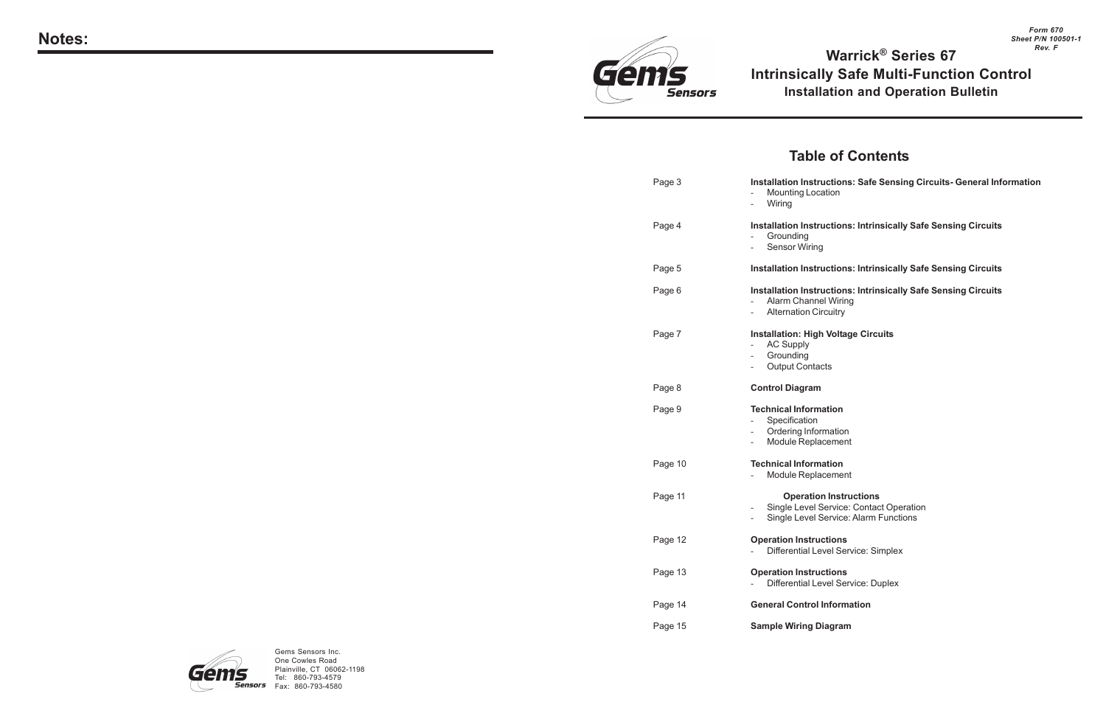# **Notes:**



Gems Sensors Inc. One Cowles Road Plainville, CT 06062-1198 Tel: 860-793-4579 Fax: 860-793-4580

# **Table of Contents**

**Indiation Installation Sensing Circuits- General Information** 

**Inage 1 Intrinsically Safe Sensing Circuits** 

**Rage 3 Intrinsically Safe Sensing Circuits** 

Page 6 **Installation Instructions: Intrinsically Safe Sensing Circuits** Miring uitry

**Voltage Circuits** 

ation ment

ment

**nstructions** rvice: Contact Operation vice: Alarm Functions

I Service: Simplex

I Service: Duplex

formation

| Page 3  | <b>Installation Instructions</b><br>Mounting Location<br>Wiring                                                                           |
|---------|-------------------------------------------------------------------------------------------------------------------------------------------|
| Page 4  | <b>Installation Instructions</b><br>Grounding<br>$\blacksquare$<br><b>Sensor Wiring</b>                                                   |
| Page 5  | <b>Installation Instructions</b>                                                                                                          |
| Page 6  | <b>Installation Instructions</b><br>Alarm Channel Wiring<br><b>Alternation Circuitry</b><br>$\overline{a}$                                |
| Page 7  | <b>Installation: High Voltag</b><br><b>AC Supply</b><br>$\blacksquare$<br>Grounding<br>$\overline{\phantom{a}}$<br><b>Output Contacts</b> |
| Page 8  | <b>Control Diagram</b>                                                                                                                    |
| Page 9  | <b>Technical Information</b><br>Specification<br>Ordering Information<br>$\overline{\phantom{a}}$<br>Module Replacement                   |
| Page 10 | <b>Technical Information</b><br>Module Replacement<br>$\overline{a}$                                                                      |
| Page 11 | <b>Operation Instru</b><br>Single Level Service:<br>$\overline{\phantom{a}}$<br>Single Level Service:<br>$\overline{\phantom{a}}$         |
| Page 12 | <b>Operation Instructions</b><br><b>Differential Level Ser</b><br>$\blacksquare$                                                          |
| Page 13 | <b>Operation Instructions</b><br><b>Differential Level Ser</b>                                                                            |
| Page 14 | <b>General Control Informa</b>                                                                                                            |
| Page 15 | <b>Sample Wiring Diagram</b>                                                                                                              |
|         |                                                                                                                                           |



# **Warrick ® Series 67 Intrinsically Safe Multi-Function Control Installation and Operation Bulletin**

*Form 670 Sheet P/N 100501-1 Rev. F*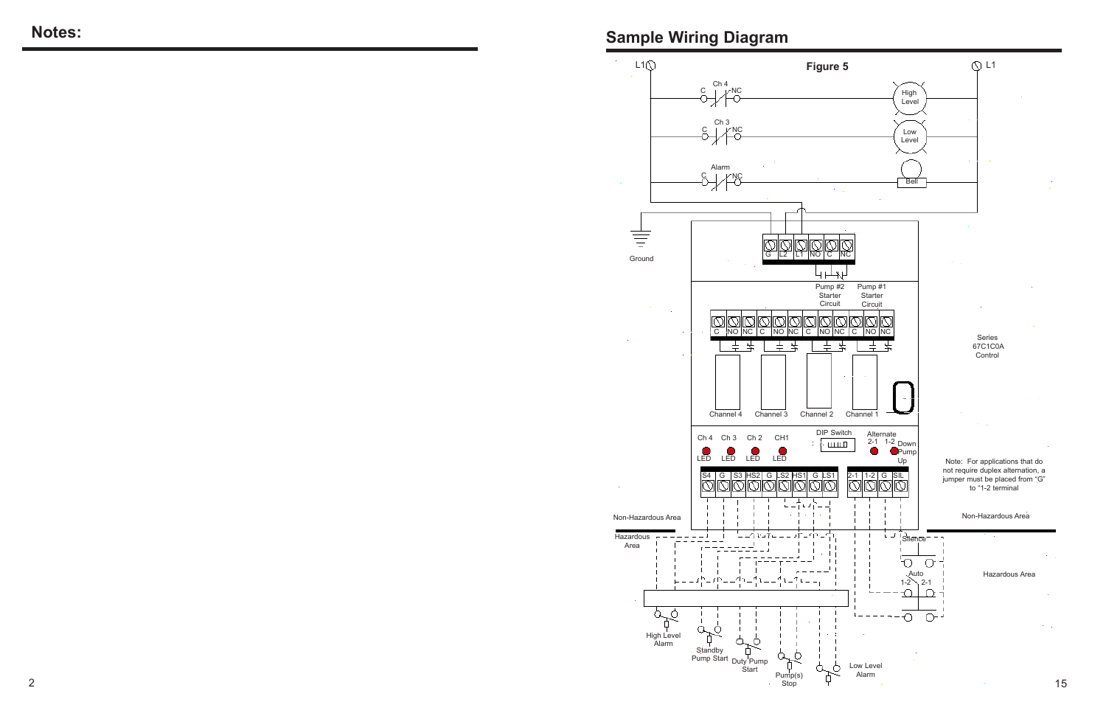# **Notes: Sample Wiring Diagram**

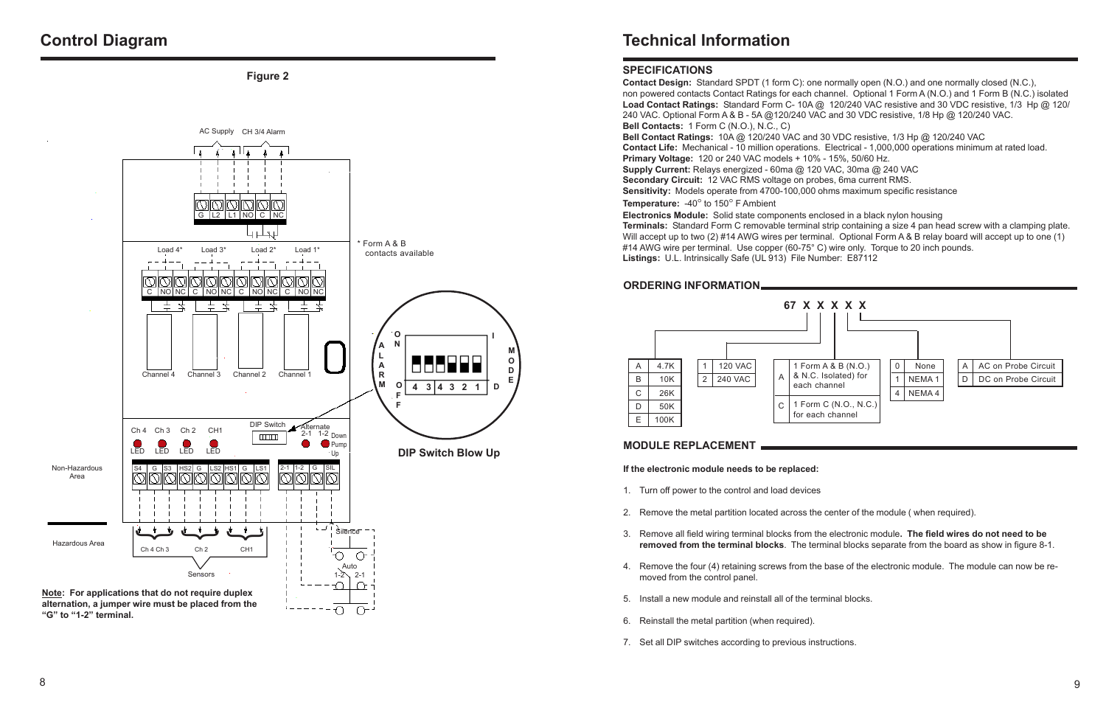### **SPECIFICATIONS**

**Contact Design:** Standard SPDT (1 form C): one normally open (N.O.) and one normally closed (N.C.), non powered contacts Contact Ratings for each channel. Optional 1 Form A (N.O.) and 1 Form B (N.C.) isolated **Load Contact Ratings:** Standard Form C- 10A @ 120/240 VAC resistive and 30 VDC resistive, 1/3 Hp @ 120/ 240 VAC. Optional Form A & B - 5A @120/240 VAC and 30 VDC resistive, 1/8 Hp @ 120/240 VAC. **Bell Contacts:** 1 Form C (N.O.), N.C., C) **Bell Contact Ratings:** 10A @ 120/240 VAC and 30 VDC resistive, 1/3 Hp @ 120/240 VAC **Contact Life:** Mechanical - 10 million operations. Electrical - 1,000,000 operations minimum at rated load. **Primary Voltage:** 120 or 240 VAC models + 10% - 15%, 50/60 Hz. **Supply Current:** Relays energized - 60ma @ 120 VAC, 30ma @ 240 VAC **Secondary Circuit:** 12 VAC RMS voltage on probes, 6ma current RMS. **Sensitivity:** Models operate from 4700-100,000 ohms maximum specific resistance **Temperature:** -40° to 150° F Ambient

**Electronics Module:** Solid state components enclosed in a black nylon housing **Terminals:** Standard Form C removable terminal strip containing a size 4 pan head screw with a clamping plate. Will accept up to two (2) #14 AWG wires per terminal. Optional Form A & B relay board will accept up to one (1) #14 AWG wire per terminal. Use copper (60-75° C) wire only. Torque to 20 inch pounds. **Listings:** U.L. Intrinsically Safe (UL 913) File Number: E87112

## **MODULE REPLACEMENT**

#### **If the electronic module needs to be replaced:**

3. Remove all field wiring terminal blocks from the electronic module**. The field wires do not need to be removed from the terminal blocks**. The terminal blocks separate from the board as show in figure 8-1.

- 1. Turn off power to the control and load devices
- 2. Remove the metal partition located across the center of the module ( when required).
- 
- moved from the control panel.
- 5. Install a new module and reinstall all of the terminal blocks.
- 6. Reinstall the metal partition (when required).
- 7. Set all DIP switches according to previous instructions.

4. Remove the four (4) retaining screws from the base of the electronic module. The module can now be re-

# **Technical Information**



# **Control Diagram**

**Figure 2**

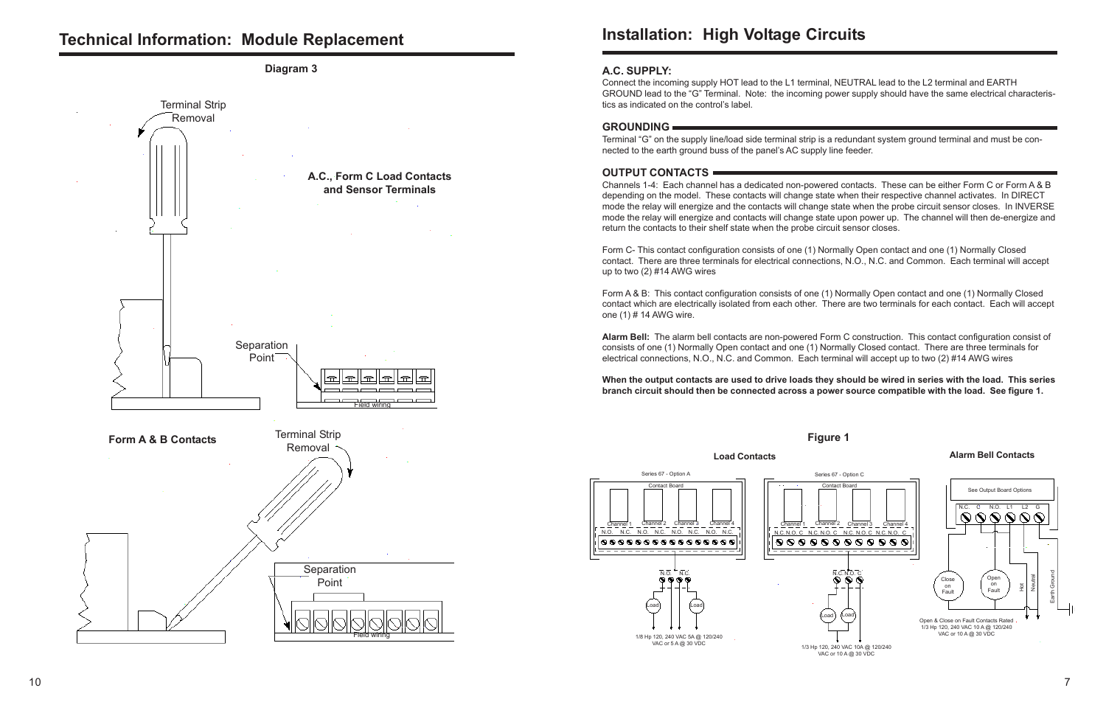# **Technical Information: Module Replacement**



Connect the incoming supply HOT lead to the L1 terminal, NEUTRAL lead to the L2 terminal and EARTH GROUND lead to the "G" Terminal. Note: the incoming power supply should have the same electrical characteristics as indicated on the control's label.

## **GROUNDING**

Terminal "G" on the supply line/load side terminal strip is a redundant system ground terminal and must be connected to the earth ground buss of the panel's AC supply line feeder.

## **OUTPUT CONTACTS**

Channels 1-4: Each channel has a dedicated non-powered contacts. These can be either Form C or Form A & B depending on the model. These contacts will change state when their respective channel activates. In DIRECT mode the relay will energize and the contacts will change state when the probe circuit sensor closes. In INVERSE mode the relay will energize and contacts will change state upon power up. The channel will then de-energize and return the contacts to their shelf state when the probe circuit sensor closes.

Form C- This contact configuration consists of one (1) Normally Open contact and one (1) Normally Closed contact. There are three terminals for electrical connections, N.O., N.C. and Common. Each terminal will accept up to two (2) #14 AWG wires

Form A & B: This contact configuration consists of one (1) Normally Open contact and one (1) Normally Closed contact which are electrically isolated from each other. There are two terminals for each contact. Each will accept one (1) # 14 AWG wire.

**Alarm Bell:** The alarm bell contacts are non-powered Form C construction. This contact configuration consist of consists of one (1) Normally Open contact and one (1) Normally Closed contact. There are three terminals for electrical connections, N.O., N.C. and Common. Each terminal will accept up to two (2) #14 AWG wires

**When the output contacts are used to drive loads they should be wired in series with the load. This series branch circuit should then be connected across a power source compatible with the load. See figure 1.**

# **Installation: High Voltage Circuits**



**Load Contacts Alarm Bell Contacts**

# **Figure 1**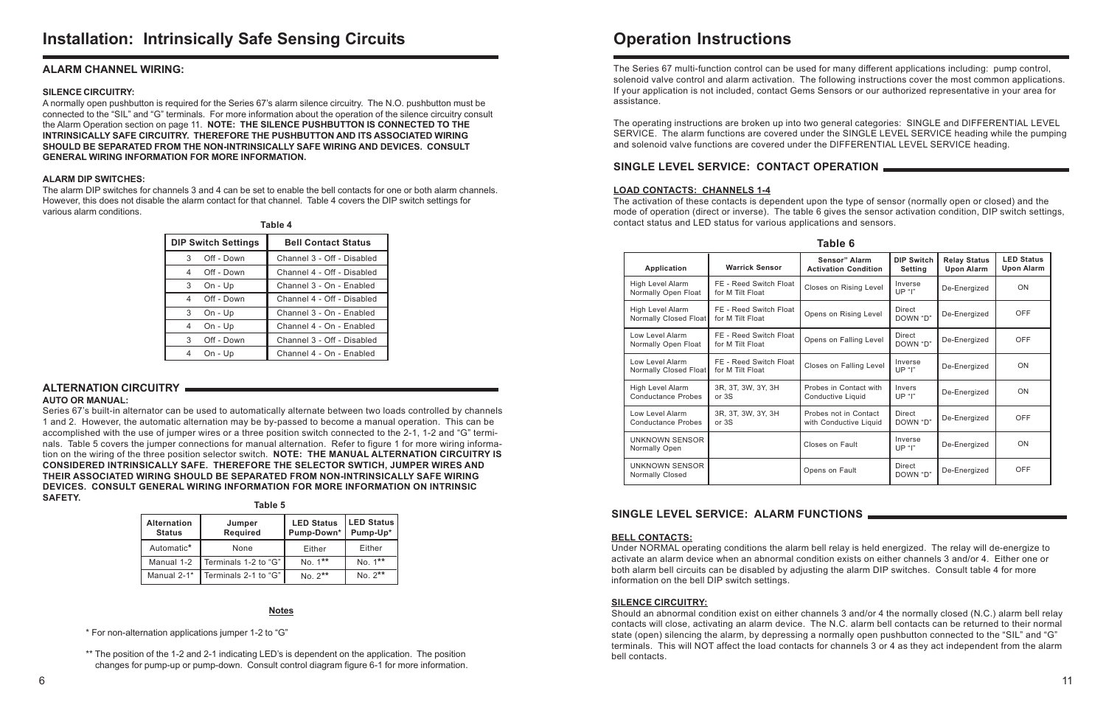### **ALARM CHANNEL WIRING:**

#### **SILENCE CIRCUITRY:**

A normally open pushbutton is required for the Series 67's alarm silence circuitry. The N.O. pushbutton must be connected to the "SIL" and "G" terminals. For more information about the operation of the silence circuitry consult the Alarm Operation section on page 11. **NOTE: THE SILENCE PUSHBUTTON IS CONNECTED TO THE INTRINSICALLY SAFE CIRCUITRY. THEREFORE THE PUSHBUTTON AND ITS ASSOCIATED WIRING SHOULD BE SEPARATED FROM THE NON-INTRINSICALLY SAFE WIRING AND DEVICES. CONSULT GENERAL WIRING INFORMATION FOR MORE INFORMATION.**

#### **ALARM DIP SWITCHES:**

The alarm DIP switches for channels 3 and 4 can be set to enable the bell contacts for one or both alarm channels. However, this does not disable the alarm contact for that channel. Table 4 covers the DIP switch settings for various alarm conditions.

## **ALTERNATION CIRCUITRY**

#### **AUTO OR MANUAL:**

\*\* The position of the 1-2 and 2-1 indicating LED's is dependent on the application. The position changes for pump-up or pump-down. Consult control diagram figure 6-1 for more information.

Series 67's built-in alternator can be used to automatically alternate between two loads controlled by channels 1 and 2. However, the automatic alternation may be by-passed to become a manual operation. This can be accomplished with the use of jumper wires or a three position switch connected to the 2-1, 1-2 and "G" terminals. Table 5 covers the jumper connections for manual alternation. Refer to figure 1 for more wiring information on the wiring of the three position selector switch. **NOTE: THE MANUAL ALTERNATION CIRCUITRY IS CONSIDERED INTRINSICALLY SAFE. THEREFORE THE SELECTOR SWTICH, JUMPER WIRES AND THEIR ASSOCIATED WIRING SHOULD BE SEPARATED FROM NON-INTRINSICALLY SAFE WIRING DEVICES. CONSULT GENERAL WIRING INFORMATION FOR MORE INFORMATION ON INTRINSIC SAFETY.**

#### **Notes**

\* For non-alternation applications jumper 1-2 to "G"

|                | Table 4                    |                            |  |  |  |  |
|----------------|----------------------------|----------------------------|--|--|--|--|
|                | <b>DIP Switch Settings</b> | <b>Bell Contact Status</b> |  |  |  |  |
| 3              | Off - Down                 | Channel 3 - Off - Disabled |  |  |  |  |
| $\overline{4}$ | Off - Down                 | Channel 4 - Off - Disabled |  |  |  |  |
| 3              | $On - Up$                  | Channel 3 - On - Fnabled   |  |  |  |  |
| 4              | Off - Down                 | Channel 4 - Off - Disabled |  |  |  |  |
| 3              | $On - Up$                  | Channel 3 - On - Fnabled   |  |  |  |  |
| 4              | $On - Up$                  | Channel 4 - On - Enabled   |  |  |  |  |
| 3              | Off - Down                 | Channel 3 - Off - Disabled |  |  |  |  |
| 4              | $On - Up$                  | Channel 4 - On - Enabled   |  |  |  |  |

**Table 5**

| <b>Alternation</b><br><b>Status</b> | Jumper<br><b>Required</b> | <b>LED Status</b><br>Pump-Down* | <b>LED Status</b><br>Pump-Up* |
|-------------------------------------|---------------------------|---------------------------------|-------------------------------|
| Automatic*                          | None                      | Either                          | Either                        |
| Manual 1-2                          | Terminals 1-2 to "G"      | No. 1**                         | No. 1**                       |
| Manual 2-1*                         | Terminals 2-1 to "G"      | No. 2**                         | $No. 2***$                    |

The Series 67 multi-function control can be used for many different applications including: pump control, solenoid valve control and alarm activation. The following instructions cover the most common applications. If your application is not included, contact Gems Sensors or our authorized representative in your area for assistance.

The operating instructions are broken up into two general categories: SINGLE and DIFFERENTIAL LEVEL SERVICE. The alarm functions are covered under the SINGLE LEVEL SERVICE heading while the pumping and solenoid valve functions are covered under the DIFFERENTIAL LEVEL SERVICE heading.

# **SINGLE LEVEL SERVICE: CONTACT OPERATION**

#### **LOAD CONTACTS: CHANNELS 1-4**

The activation of these contacts is dependent upon the type of sensor (normally open or closed) and the mode of operation (direct or inverse). The table 6 gives the sensor activation condition, DIP switch settings, contact status and LED status for various applications and sensors.

# **SINGLE LEVEL SERVICE: ALARM FUNCTIONS**

#### **BELL CONTACTS:**

Under NORMAL operating conditions the alarm bell relay is held energized. The relay will de-energize to activate an alarm device when an abnormal condition exists on either channels 3 and/or 4. Either one or both alarm bell circuits can be disabled by adjusting the alarm DIP switches. Consult table 4 for more information on the bell DIP switch settings.

#### **SILENCE CIRCUITRY:**

Should an abnormal condition exist on either channels 3 and/or 4 the normally closed (N.C.) alarm bell relay contacts will close, activating an alarm device. The N.C. alarm bell contacts can be returned to their normal state (open) silencing the alarm, by depressing a normally open pushbutton connected to the "SIL" and "G" terminals. This will NOT affect the load contacts for channels 3 or 4 as they act independent from the alarm bell contacts.

# **Operation Instructions**

## **Table 6**

| Application                               | <b>Warrick Sensor</b>                      | Sensor" Alarm<br><b>Activation Condition</b>    | <b>DIP Switch</b><br>Setting | <b>Relay Status</b><br><b>Upon Alarm</b> | <b>LED Status</b><br><b>Upon Alarm</b> |
|-------------------------------------------|--------------------------------------------|-------------------------------------------------|------------------------------|------------------------------------------|----------------------------------------|
| High Level Alarm<br>Normally Open Float   | FE - Reed Switch Float<br>for M Tilt Float | Closes on Rising Level                          | Inverse<br>UP "I"            | De-Energized                             | ON                                     |
| High Level Alarm<br>Normally Closed Float | FE - Reed Switch Float<br>for M Tilt Float | Opens on Rising Level                           | Direct<br>DOWN "D"           | De-Energized                             | OFF                                    |
| Low Level Alarm<br>Normally Open Float    | FE - Reed Switch Float<br>for M Tilt Float | Opens on Falling Level                          | Direct<br>DOWN "D"           | De-Energized                             | <b>OFF</b>                             |
| Low Level Alarm<br>Normally Closed Float  | FE - Reed Switch Float<br>for M Tilt Float | Closes on Falling Level                         | Inverse<br>UP "I"            | De-Energized                             | ON                                     |
| High Level Alarm<br>Conductance Probes    | 3R, 3T, 3W, 3Y, 3H<br>or 3S                | Probes in Contact with<br>Conductive Liquid     | Invers<br>UP "I"             | De-Energized                             | ON                                     |
| Low Level Alarm<br>Conductance Probes     | 3R, 3T, 3W, 3Y, 3H<br>or $3S$              | Probes not in Contact<br>with Conductive Liquid | <b>Direct</b><br>DOWN "D"    | De-Energized                             | OFF                                    |
| <b>UNKNOWN SENSOR</b><br>Normally Open    |                                            | Closes on Fault                                 | Inverse<br>UP "I"            | De-Energized                             | ON                                     |
| UNKNOWN SENSOR<br>Normally Closed         |                                            | Opens on Fault                                  | Direct<br>DOWN "D"           | De-Energized                             | <b>OFF</b>                             |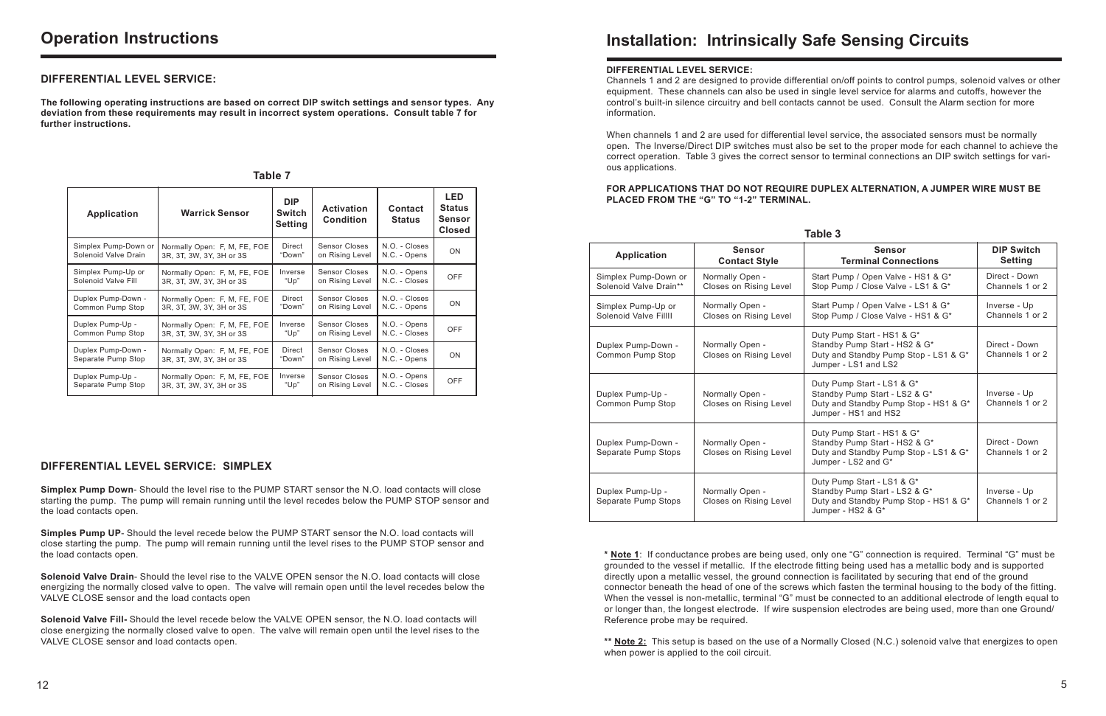#### **DIFFERENTIAL LEVEL SERVICE:**

Channels 1 and 2 are designed to provide differential on/off points to control pumps, solenoid valves or other equipment. These channels can also be used in single level service for alarms and cutoffs, however the control's built-in silence circuitry and bell contacts cannot be used. Consult the Alarm section for more information.

When channels 1 and 2 are used for differential level service, the associated sensors must be normally open. The Inverse/Direct DIP switches must also be set to the proper mode for each channel to achieve the correct operation. Table 3 gives the correct sensor to terminal connections an DIP switch settings for various applications.

### **FOR APPLICATIONS THAT DO NOT REQUIRE DUPLEX ALTERNATION, A JUMPER WIRE MUST BE PLACED FROM THE "G" TO "1-2" TERMINAL.**

**\* Note 1**: If conductance probes are being used, only one "G" connection is required. Terminal "G" must be grounded to the vessel if metallic. If the electrode fitting being used has a metallic body and is supported directly upon a metallic vessel, the ground connection is facilitated by securing that end of the ground connector beneath the head of one of the screws which fasten the terminal housing to the body of the fitting. When the vessel is non-metallic, terminal "G" must be connected to an additional electrode of length equal to or longer than, the longest electrode. If wire suspension electrodes are being used, more than one Ground/ Reference probe may be required.

**\*\* Note 2:** This setup is based on the use of a Normally Closed (N.C.) solenoid valve that energizes to open when power is applied to the coil circuit.

# **Installation: Intrinsically Safe Sensing Circuits**

| Table 3                                        |                                           |                                                                                                                              |                                     |  |
|------------------------------------------------|-------------------------------------------|------------------------------------------------------------------------------------------------------------------------------|-------------------------------------|--|
| <b>Application</b>                             | <b>Sensor</b><br><b>Contact Style</b>     | <b>Sensor</b><br><b>Terminal Connections</b>                                                                                 | <b>DIP Switch</b><br><b>Setting</b> |  |
| Simplex Pump-Down or<br>Solenoid Valve Drain** | Normally Open -<br>Closes on Rising Level | Start Pump / Open Valve - HS1 & G*<br>Stop Pump / Close Valve - LS1 & G*                                                     | Direct - Down<br>Channels 1 or 2    |  |
| Simplex Pump-Up or<br>Solenoid Valve FillII    | Normally Open -<br>Closes on Rising Level | Start Pump / Open Valve - LS1 & G*<br>Stop Pump / Close Valve - HS1 & G*                                                     | Inverse - Up<br>Channels 1 or 2     |  |
| Duplex Pump-Down -<br>Common Pump Stop         | Normally Open -<br>Closes on Rising Level | Duty Pump Start - HS1 & G*<br>Standby Pump Start - HS2 & G*<br>Duty and Standby Pump Stop - LS1 & G*<br>Jumper - LS1 and LS2 | Direct - Down<br>Channels 1 or 2    |  |
| Duplex Pump-Up -<br>Common Pump Stop           | Normally Open -<br>Closes on Rising Level | Duty Pump Start - LS1 & G*<br>Standby Pump Start - LS2 & G*<br>Duty and Standby Pump Stop - HS1 & G*<br>Jumper - HS1 and HS2 | Inverse - Up<br>Channels 1 or 2     |  |
| Duplex Pump-Down -<br>Separate Pump Stops      | Normally Open -<br>Closes on Rising Level | Duty Pump Start - HS1 & G*<br>Standby Pump Start - HS2 & G*<br>Duty and Standby Pump Stop - LS1 & G*<br>Jumper - LS2 and G*  | Direct - Down<br>Channels 1 or 2    |  |
| Duplex Pump-Up -<br>Separate Pump Stops        | Normally Open -<br>Closes on Rising Level | Duty Pump Start - LS1 & G*<br>Standby Pump Start - LS2 & G*<br>Duty and Standby Pump Stop - HS1 & G*<br>Jumper - HS2 & G*    | Inverse - Up<br>Channels 1 or 2     |  |

## **DIFFERENTIAL LEVEL SERVICE:**

**The following operating instructions are based on correct DIP switch settings and sensor types. Any deviation from these requirements may result in incorrect system operations. Consult table 7 for further instructions.**

### **DIFFERENTIAL LEVEL SERVICE: SIMPLEX**

**Simplex Pump Down**- Should the level rise to the PUMP START sensor the N.O. load contacts will close starting the pump. The pump will remain running until the level recedes below the PUMP STOP sensor and the load contacts open.

**Simples Pump UP**- Should the level recede below the PUMP START sensor the N.O. load contacts will close starting the pump. The pump will remain running until the level rises to the PUMP STOP sensor and the load contacts open.

**Solenoid Valve Drain**- Should the level rise to the VALVE OPEN sensor the N.O. load contacts will close energizing the normally closed valve to open. The valve will remain open until the level recedes below the VALVE CLOSE sensor and the load contacts open

**Solenoid Valve Fill-** Should the level recede below the VALVE OPEN sensor, the N.O. load contacts will close energizing the normally closed valve to open. The valve will remain open until the level rises to the VALVE CLOSE sensor and load contacts open.

#### **Table 7**

| <b>Application</b>   | <b>Warrick Sensor</b>        | <b>DIP</b><br><b>Switch</b><br><b>Setting</b> | <b>Activation</b><br><b>Condition</b> | <b>Contact</b><br><b>Status</b> | <b>LED</b><br><b>Status</b><br><b>Sensor</b><br><b>Closed</b> |
|----------------------|------------------------------|-----------------------------------------------|---------------------------------------|---------------------------------|---------------------------------------------------------------|
| Simplex Pump-Down or | Normally Open: F, M, FE, FOE | Direct                                        | <b>Sensor Closes</b>                  | N.O. - Closes                   | <b>ON</b>                                                     |
| Solenoid Valve Drain | 3R, 3T, 3W, 3Y, 3H or 3S     | "Down"                                        | on Rising Level                       | N.C. - Opens                    |                                                               |
| Simplex Pump-Up or   | Normally Open: F, M, FE, FOE | Inverse                                       | Sensor Closes                         | N.O. - Opens                    | <b>OFF</b>                                                    |
| Solenoid Valve Fill  | 3R, 3T, 3W, 3Y, 3H or 3S     | "Up"                                          | on Rising Level                       | N.C. - Closes                   |                                                               |
| Duplex Pump-Down -   | Normally Open: F, M, FE, FOE | <b>Direct</b>                                 | Sensor Closes                         | N.O. - Closes                   | <b>ON</b>                                                     |
| Common Pump Stop     | 3R, 3T, 3W, 3Y, 3H or 3S     | "Down"                                        | on Rising Level                       | N.C. - Opens                    |                                                               |
| Duplex Pump-Up -     | Normally Open: F, M, FE, FOE | Inverse                                       | <b>Sensor Closes</b>                  | N.O. - Opens                    | <b>OFF</b>                                                    |
| Common Pump Stop     | 3R, 3T, 3W, 3Y, 3H or 3S     | "Up"                                          | on Rising Level                       | N.C. - Closes                   |                                                               |
| Duplex Pump-Down -   | Normally Open: F, M, FE, FOE | <b>Direct</b>                                 | <b>Sensor Closes</b>                  | N.O. - Closes                   | <b>ON</b>                                                     |
| Separate Pump Stop   | 3R, 3T, 3W, 3Y, 3H or 3S     | "Down"                                        | on Rising Level                       | N.C. - Opens                    |                                                               |
| Duplex Pump-Up -     | Normally Open: F, M, FE, FOE | Inverse                                       | Sensor Closes                         | N.O. - Opens                    | <b>OFF</b>                                                    |
| Separate Pump Stop   | 3R, 3T, 3W, 3Y, 3H or 3S     | "Up"                                          | on Rising Level                       | N.C. - Closes                   |                                                               |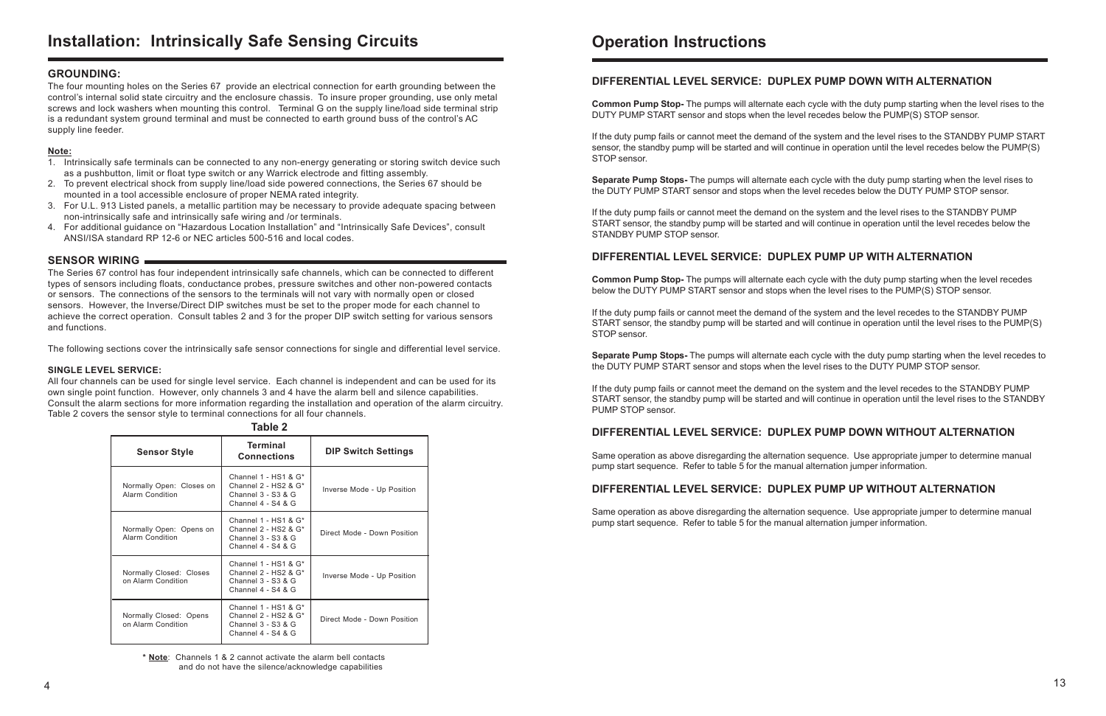## **DIFFERENTIAL LEVEL SERVICE: DUPLEX PUMP DOWN WITH ALTERNATION**

**Common Pump Stop-** The pumps will alternate each cycle with the duty pump starting when the level rises to the DUTY PUMP START sensor and stops when the level recedes below the PUMP(S) STOP sensor.

If the duty pump fails or cannot meet the demand of the system and the level rises to the STANDBY PUMP START sensor, the standby pump will be started and will continue in operation until the level recedes below the PUMP(S) STOP sensor.

**Separate Pump Stops-** The pumps will alternate each cycle with the duty pump starting when the level rises to the DUTY PUMP START sensor and stops when the level recedes below the DUTY PUMP STOP sensor.

If the duty pump fails or cannot meet the demand on the system and the level rises to the STANDBY PUMP START sensor, the standby pump will be started and will continue in operation until the level recedes below the STANDBY PUMP STOP sensor.

# **DIFFERENTIAL LEVEL SERVICE: DUPLEX PUMP UP WITH ALTERNATION**

**Common Pump Stop-** The pumps will alternate each cycle with the duty pump starting when the level recedes below the DUTY PUMP START sensor and stops when the level rises to the PUMP(S) STOP sensor.

If the duty pump fails or cannot meet the demand of the system and the level recedes to the STANDBY PUMP START sensor, the standby pump will be started and will continue in operation until the level rises to the PUMP(S) STOP sensor.

**Separate Pump Stops-** The pumps will alternate each cycle with the duty pump starting when the level recedes to the DUTY PUMP START sensor and stops when the level rises to the DUTY PUMP STOP sensor.

If the duty pump fails or cannot meet the demand on the system and the level recedes to the STANDBY PUMP START sensor, the standby pump will be started and will continue in operation until the level rises to the STANDBY PUMP STOP sensor.

# **DIFFERENTIAL LEVEL SERVICE: DUPLEX PUMP DOWN WITHOUT ALTERNATION**

Same operation as above disregarding the alternation sequence. Use appropriate jumper to determine manual pump start sequence. Refer to table 5 for the manual alternation jumper information.

# **DIFFERENTIAL LEVEL SERVICE: DUPLEX PUMP UP WITHOUT ALTERNATION**

Same operation as above disregarding the alternation sequence. Use appropriate jumper to determine manual pump start sequence. Refer to table 5 for the manual alternation jumper information.

# **Operation Instructions**

## **GROUNDING:**

The four mounting holes on the Series 67 provide an electrical connection for earth grounding between the control's internal solid state circuitry and the enclosure chassis. To insure proper grounding, use only metal screws and lock washers when mounting this control. Terminal G on the supply line/load side terminal strip is a redundant system ground terminal and must be connected to earth ground buss of the control's AC supply line feeder.

### **Note:**

- 1. Intrinsically safe terminals can be connected to any non-energy generating or storing switch device such as a pushbutton, limit or float type switch or any Warrick electrode and fitting assembly.
- 2. To prevent electrical shock from supply line/load side powered connections, the Series 67 should be mounted in a tool accessible enclosure of proper NEMA rated integrity.
- 3. For U.L. 913 Listed panels, a metallic partition may be necessary to provide adequate spacing between non-intrinsically safe and intrinsically safe wiring and /or terminals.
- 4. For additional guidance on "Hazardous Location Installation" and "Intrinsically Safe Devices", consult ANSI/ISA standard RP 12-6 or NEC articles 500-516 and local codes.

## **SENSOR WIRING**

The Series 67 control has four independent intrinsically safe channels, which can be connected to different types of sensors including floats, conductance probes, pressure switches and other non-powered contacts or sensors. The connections of the sensors to the terminals will not vary with normally open or closed sensors. However, the Inverse/Direct DIP switches must be set to the proper mode for each channel to achieve the correct operation. Consult tables 2 and 3 for the proper DIP switch setting for various sensors and functions.

The following sections cover the intrinsically safe sensor connections for single and differential level service.

### **SINGLE LEVEL SERVICE:**

All four channels can be used for single level service. Each channel is independent and can be used for its own single point function. However, only channels 3 and 4 have the alarm bell and silence capabilities. Consult the alarm sections for more information regarding the installation and operation of the alarm circuitry. Table 2 covers the sensor style to terminal connections for all four channels.

> **\* Note**: Channels 1 & 2 cannot activate the alarm bell contacts and do not have the silence/acknowledge capabilities

**Table 2**

| <b>Sensor Style</b>                           | <b>Terminal</b><br><b>Connections</b>                                                              | <b>DIP Switch Settings</b>  |
|-----------------------------------------------|----------------------------------------------------------------------------------------------------|-----------------------------|
| Normally Open: Closes on<br>Alarm Condition   | Channel $1 - HS1 & G^*$<br>Channel $2 - HS2$ & $G^*$<br>Channel $3 - S3 & G$<br>Channel 4 - S4 & G | Inverse Mode - Up Position  |
| Normally Open: Opens on<br>Alarm Condition    | Channel $1 - HS1 & G^*$<br>Channel $2 - HS2 & G*$<br>Channel $3 - S3 & G$<br>Channel 4 - S4 & G    | Direct Mode - Down Position |
| Normally Closed: Closes<br>on Alarm Condition | Channel $1 - HS1 & G^*$<br>Channel $2 - HS2 & G*$<br>Channel $3 - S3 & G$<br>Channel 4 - S4 & G    | Inverse Mode - Up Position  |
| Normally Closed: Opens<br>on Alarm Condition  | Channel $1 - HS1 & G^*$<br>Channel $2 - HS2$ & $G^*$<br>Channel $3 - S3 & G$<br>Channel 4 - S4 & G | Direct Mode - Down Position |